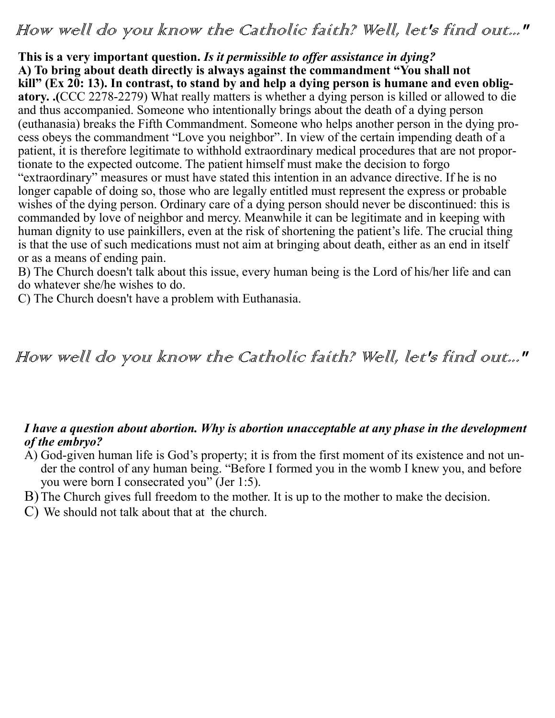## How well do you know the Catholic faith? Well, let's find out..."

**This is a very important question.** *Is it permissible to offer assistance in dying?* **A) To bring about death directly is always against the commandment "You shall not kill" (Ex 20: 13). In contrast, to stand by and help a dying person is humane and even obligatory. .(**CCC 2278-2279) What really matters is whether a dying person is killed or allowed to die and thus accompanied. Someone who intentionally brings about the death of a dying person (euthanasia) breaks the Fifth Commandment. Someone who helps another person in the dying process obeys the commandment "Love you neighbor". In view of the certain impending death of a patient, it is therefore legitimate to withhold extraordinary medical procedures that are not proportionate to the expected outcome. The patient himself must make the decision to forgo "extraordinary" measures or must have stated this intention in an advance directive. If he is no longer capable of doing so, those who are legally entitled must represent the express or probable wishes of the dying person. Ordinary care of a dying person should never be discontinued: this is commanded by love of neighbor and mercy. Meanwhile it can be legitimate and in keeping with human dignity to use painkillers, even at the risk of shortening the patient's life. The crucial thing is that the use of such medications must not aim at bringing about death, either as an end in itself or as a means of ending pain.

B) The Church doesn't talk about this issue, every human being is the Lord of his/her life and can do whatever she/he wishes to do.

C) The Church doesn't have a problem with Euthanasia.

# How well do you know the Catholic faith? Well, let's find out..."

#### *I have a question about abortion. Why is abortion unacceptable at any phase in the development of the embryo?*

- A) God-given human life is God's property; it is from the first moment of its existence and not under the control of any human being. "Before I formed you in the womb I knew you, and before you were born I consecrated you" (Jer 1:5).
- B)The Church gives full freedom to the mother. It is up to the mother to make the decision.
- C) We should not talk about that at the church.